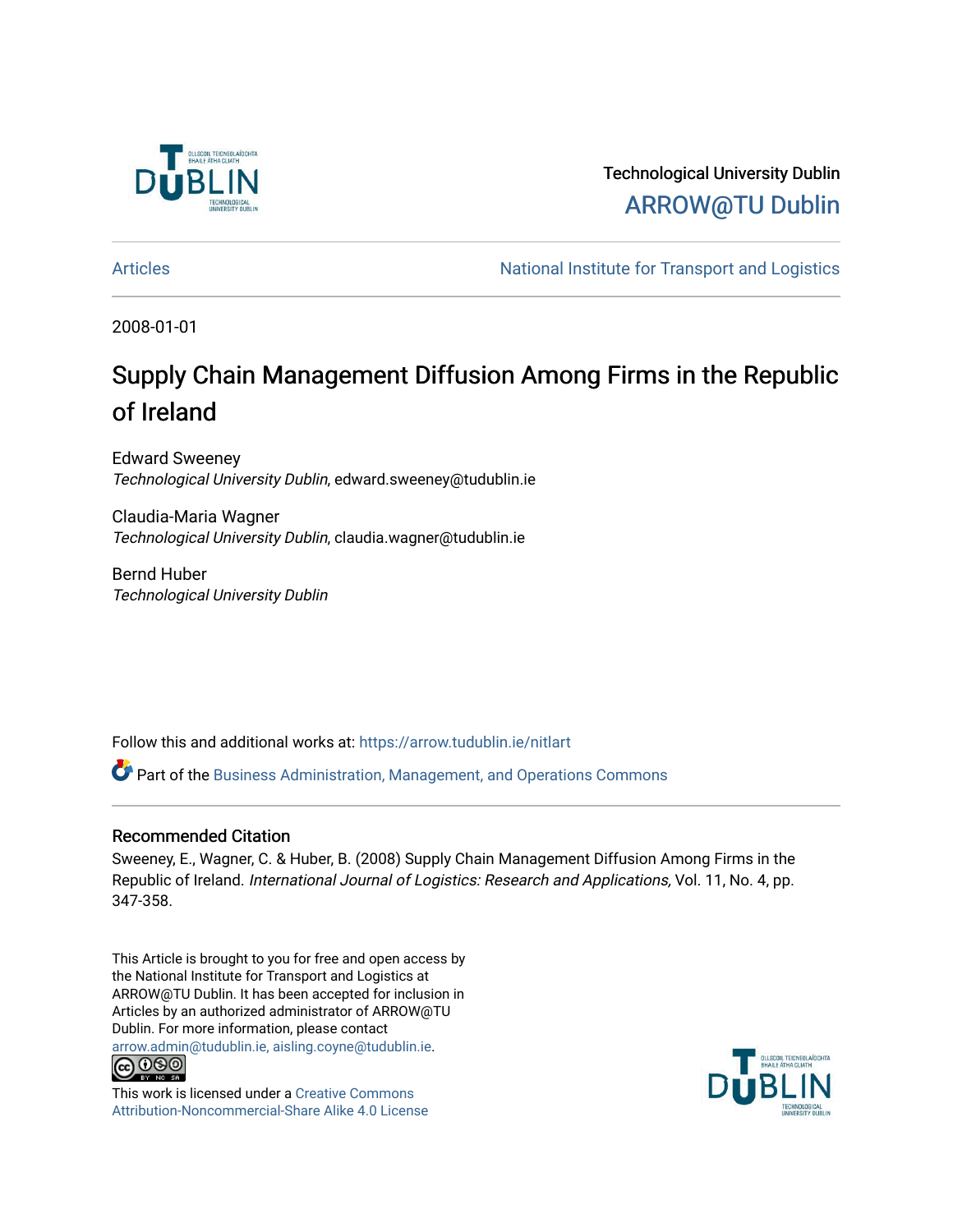

Technological University Dublin [ARROW@TU Dublin](https://arrow.tudublin.ie/) 

[Articles](https://arrow.tudublin.ie/nitlart) **Articles** Articles Articles Articles Articles Articles Articles Articles Articles Articles Articles Articles Articles Articles Articles Articles Articles Articles Articles Articles Articles Articles Articles Arti

2008-01-01

# Supply Chain Management Diffusion Among Firms in the Republic of Ireland

Edward Sweeney Technological University Dublin, edward.sweeney@tudublin.ie

Claudia-Maria Wagner Technological University Dublin, claudia.wagner@tudublin.ie

Bernd Huber Technological University Dublin

Follow this and additional works at: [https://arrow.tudublin.ie/nitlart](https://arrow.tudublin.ie/nitlart?utm_source=arrow.tudublin.ie%2Fnitlart%2F3&utm_medium=PDF&utm_campaign=PDFCoverPages) 

 $\bullet$  Part of the [Business Administration, Management, and Operations Commons](http://network.bepress.com/hgg/discipline/623?utm_source=arrow.tudublin.ie%2Fnitlart%2F3&utm_medium=PDF&utm_campaign=PDFCoverPages)

## Recommended Citation

Sweeney, E., Wagner, C. & Huber, B. (2008) Supply Chain Management Diffusion Among Firms in the Republic of Ireland. International Journal of Logistics: Research and Applications, Vol. 11, No. 4, pp. 347-358.

This Article is brought to you for free and open access by the National Institute for Transport and Logistics at ARROW@TU Dublin. It has been accepted for inclusion in Articles by an authorized administrator of ARROW@TU Dublin. For more information, please contact [arrow.admin@tudublin.ie, aisling.coyne@tudublin.ie](mailto:arrow.admin@tudublin.ie,%20aisling.coyne@tudublin.ie).



This work is licensed under a [Creative Commons](http://creativecommons.org/licenses/by-nc-sa/4.0/) [Attribution-Noncommercial-Share Alike 4.0 License](http://creativecommons.org/licenses/by-nc-sa/4.0/)

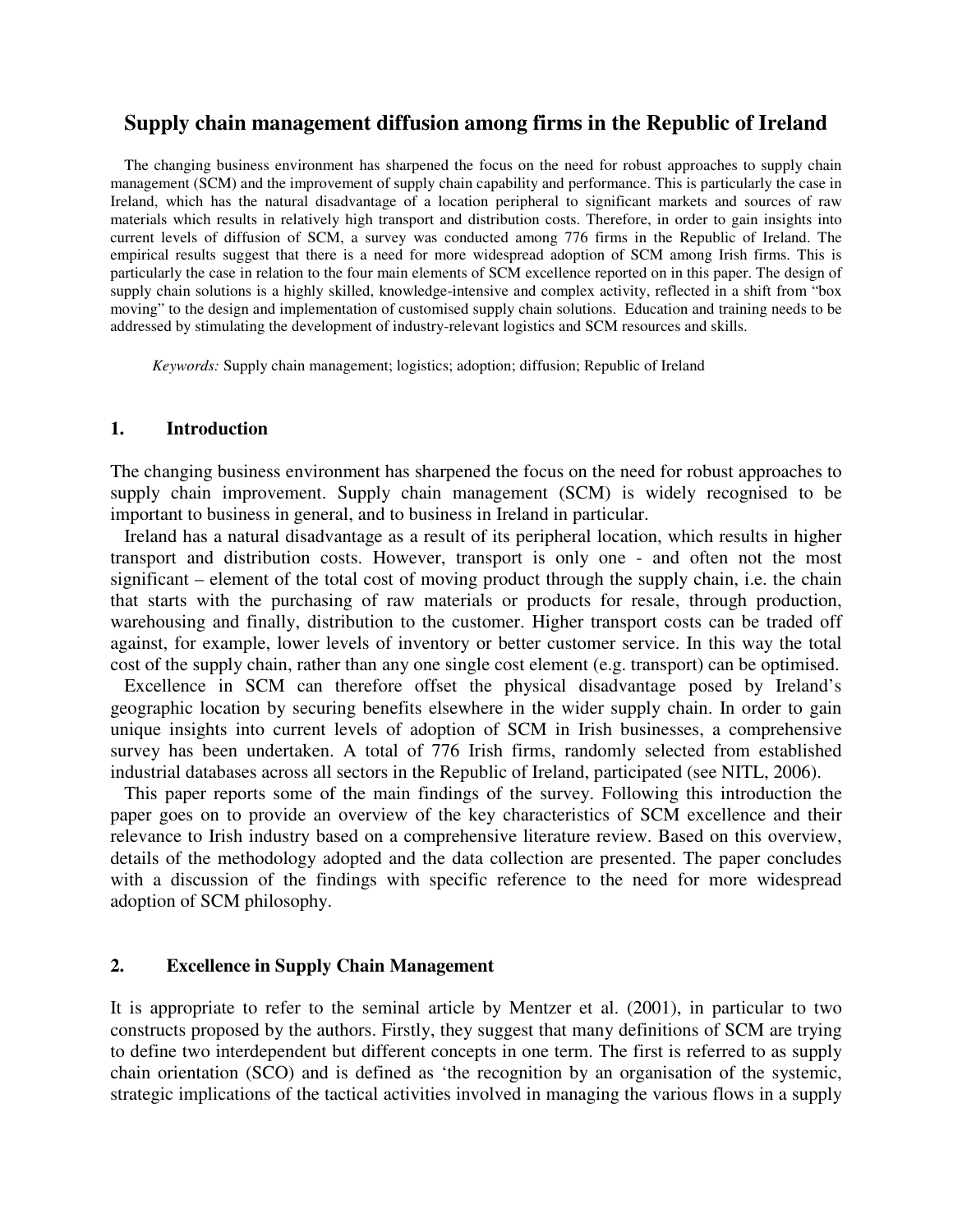## **Supply chain management diffusion among firms in the Republic of Ireland**

The changing business environment has sharpened the focus on the need for robust approaches to supply chain management (SCM) and the improvement of supply chain capability and performance. This is particularly the case in Ireland, which has the natural disadvantage of a location peripheral to significant markets and sources of raw materials which results in relatively high transport and distribution costs. Therefore, in order to gain insights into current levels of diffusion of SCM, a survey was conducted among 776 firms in the Republic of Ireland. The empirical results suggest that there is a need for more widespread adoption of SCM among Irish firms. This is particularly the case in relation to the four main elements of SCM excellence reported on in this paper. The design of supply chain solutions is a highly skilled, knowledge-intensive and complex activity, reflected in a shift from "box moving" to the design and implementation of customised supply chain solutions. Education and training needs to be addressed by stimulating the development of industry-relevant logistics and SCM resources and skills.

*Keywords:* Supply chain management; logistics; adoption; diffusion; Republic of Ireland

#### **1. Introduction**

The changing business environment has sharpened the focus on the need for robust approaches to supply chain improvement. Supply chain management (SCM) is widely recognised to be important to business in general, and to business in Ireland in particular.

 Ireland has a natural disadvantage as a result of its peripheral location, which results in higher transport and distribution costs. However, transport is only one - and often not the most significant – element of the total cost of moving product through the supply chain, i.e. the chain that starts with the purchasing of raw materials or products for resale, through production, warehousing and finally, distribution to the customer. Higher transport costs can be traded off against, for example, lower levels of inventory or better customer service. In this way the total cost of the supply chain, rather than any one single cost element (e.g. transport) can be optimised.

 Excellence in SCM can therefore offset the physical disadvantage posed by Ireland's geographic location by securing benefits elsewhere in the wider supply chain. In order to gain unique insights into current levels of adoption of SCM in Irish businesses, a comprehensive survey has been undertaken. A total of 776 Irish firms, randomly selected from established industrial databases across all sectors in the Republic of Ireland, participated (see NITL, 2006).

 This paper reports some of the main findings of the survey. Following this introduction the paper goes on to provide an overview of the key characteristics of SCM excellence and their relevance to Irish industry based on a comprehensive literature review. Based on this overview, details of the methodology adopted and the data collection are presented. The paper concludes with a discussion of the findings with specific reference to the need for more widespread adoption of SCM philosophy.

### **2. Excellence in Supply Chain Management**

It is appropriate to refer to the seminal article by Mentzer et al. (2001), in particular to two constructs proposed by the authors. Firstly, they suggest that many definitions of SCM are trying to define two interdependent but different concepts in one term. The first is referred to as supply chain orientation (SCO) and is defined as 'the recognition by an organisation of the systemic, strategic implications of the tactical activities involved in managing the various flows in a supply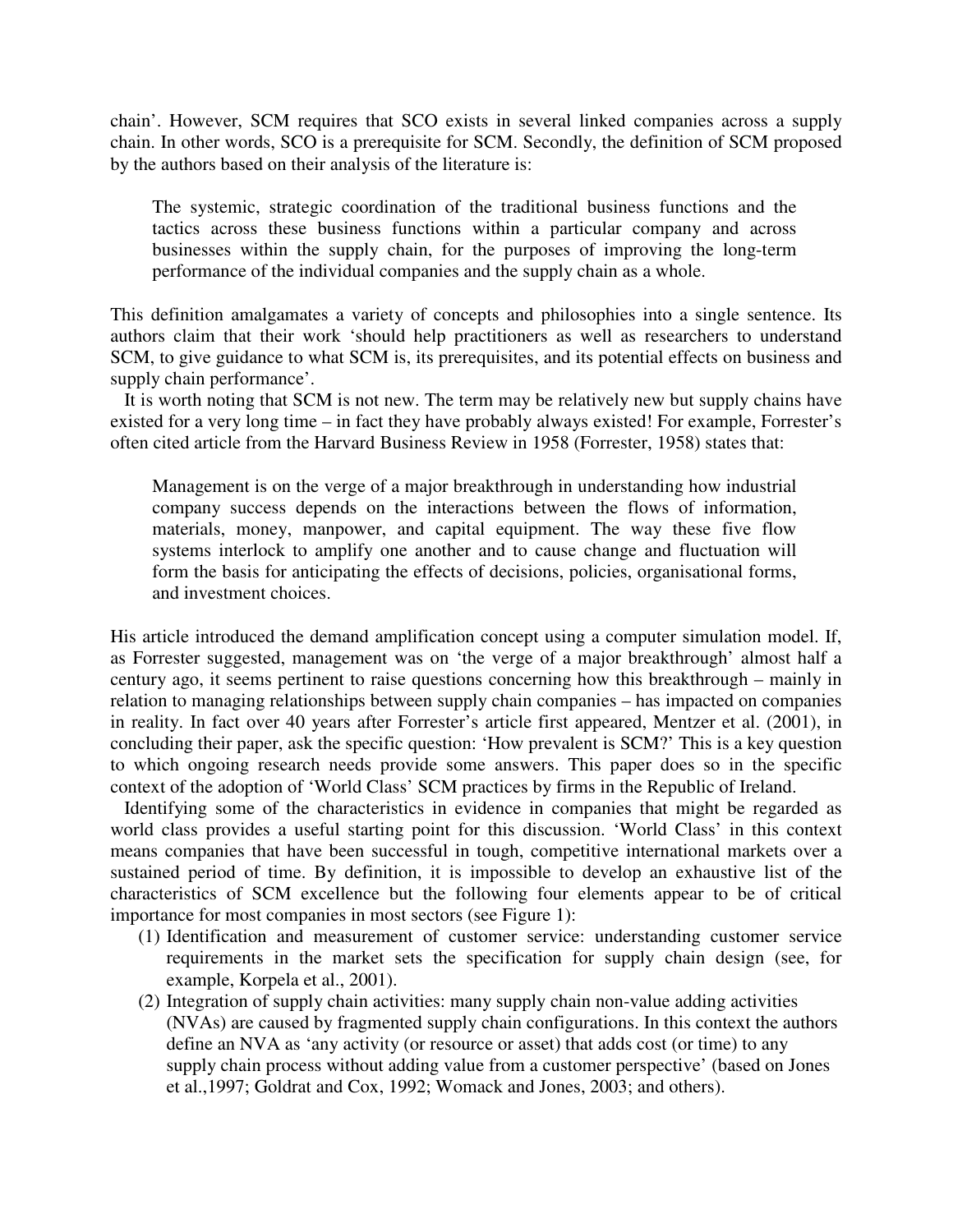chain'. However, SCM requires that SCO exists in several linked companies across a supply chain. In other words, SCO is a prerequisite for SCM. Secondly, the definition of SCM proposed by the authors based on their analysis of the literature is:

The systemic, strategic coordination of the traditional business functions and the tactics across these business functions within a particular company and across businesses within the supply chain, for the purposes of improving the long-term performance of the individual companies and the supply chain as a whole.

This definition amalgamates a variety of concepts and philosophies into a single sentence. Its authors claim that their work 'should help practitioners as well as researchers to understand SCM, to give guidance to what SCM is, its prerequisites, and its potential effects on business and supply chain performance'.

 It is worth noting that SCM is not new. The term may be relatively new but supply chains have existed for a very long time – in fact they have probably always existed! For example, Forrester's often cited article from the Harvard Business Review in 1958 (Forrester, 1958) states that:

Management is on the verge of a major breakthrough in understanding how industrial company success depends on the interactions between the flows of information, materials, money, manpower, and capital equipment. The way these five flow systems interlock to amplify one another and to cause change and fluctuation will form the basis for anticipating the effects of decisions, policies, organisational forms, and investment choices.

His article introduced the demand amplification concept using a computer simulation model. If, as Forrester suggested, management was on 'the verge of a major breakthrough' almost half a century ago, it seems pertinent to raise questions concerning how this breakthrough – mainly in relation to managing relationships between supply chain companies – has impacted on companies in reality. In fact over 40 years after Forrester's article first appeared, Mentzer et al. (2001), in concluding their paper, ask the specific question: 'How prevalent is SCM?' This is a key question to which ongoing research needs provide some answers. This paper does so in the specific context of the adoption of 'World Class' SCM practices by firms in the Republic of Ireland.

 Identifying some of the characteristics in evidence in companies that might be regarded as world class provides a useful starting point for this discussion. 'World Class' in this context means companies that have been successful in tough, competitive international markets over a sustained period of time. By definition, it is impossible to develop an exhaustive list of the characteristics of SCM excellence but the following four elements appear to be of critical importance for most companies in most sectors (see Figure 1):

- (1) Identification and measurement of customer service: understanding customer service requirements in the market sets the specification for supply chain design (see, for example, Korpela et al., 2001).
- (2) Integration of supply chain activities: many supply chain non-value adding activities (NVAs) are caused by fragmented supply chain configurations. In this context the authors define an NVA as 'any activity (or resource or asset) that adds cost (or time) to any supply chain process without adding value from a customer perspective' (based on Jones et al.,1997; Goldrat and Cox, 1992; Womack and Jones, 2003; and others).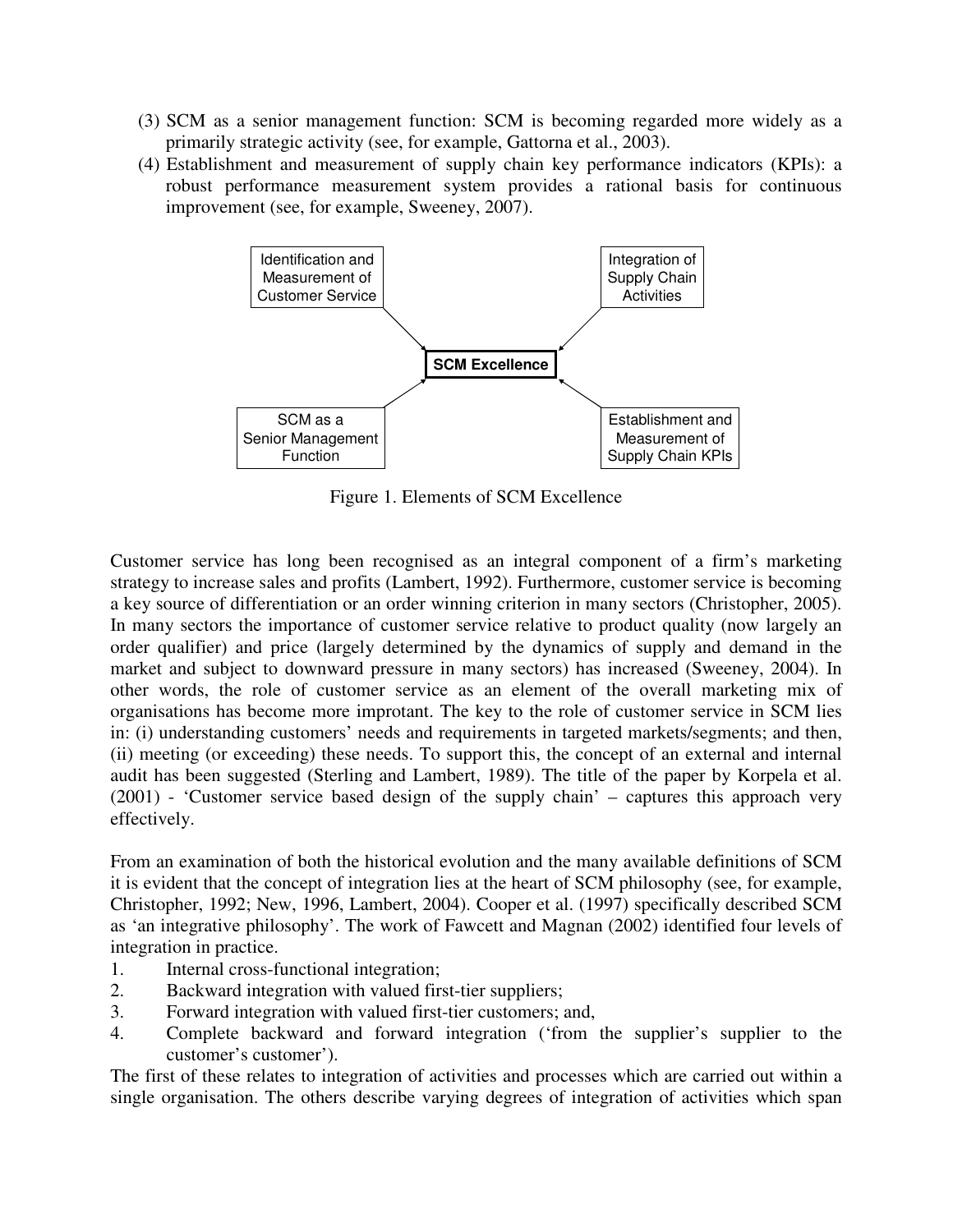- (3) SCM as a senior management function: SCM is becoming regarded more widely as a primarily strategic activity (see, for example, Gattorna et al., 2003).
- (4) Establishment and measurement of supply chain key performance indicators (KPIs): a robust performance measurement system provides a rational basis for continuous improvement (see, for example, Sweeney, 2007).



Figure 1. Elements of SCM Excellence

Customer service has long been recognised as an integral component of a firm's marketing strategy to increase sales and profits (Lambert, 1992). Furthermore, customer service is becoming a key source of differentiation or an order winning criterion in many sectors (Christopher, 2005). In many sectors the importance of customer service relative to product quality (now largely an order qualifier) and price (largely determined by the dynamics of supply and demand in the market and subject to downward pressure in many sectors) has increased (Sweeney, 2004). In other words, the role of customer service as an element of the overall marketing mix of organisations has become more improtant. The key to the role of customer service in SCM lies in: (i) understanding customers' needs and requirements in targeted markets/segments; and then, (ii) meeting (or exceeding) these needs. To support this, the concept of an external and internal audit has been suggested (Sterling and Lambert, 1989). The title of the paper by Korpela et al. (2001) - 'Customer service based design of the supply chain' – captures this approach very effectively.

From an examination of both the historical evolution and the many available definitions of SCM it is evident that the concept of integration lies at the heart of SCM philosophy (see, for example, Christopher, 1992; New, 1996, Lambert, 2004). Cooper et al. (1997) specifically described SCM as 'an integrative philosophy'. The work of Fawcett and Magnan (2002) identified four levels of integration in practice.

- 1. Internal cross-functional integration;
- 2. Backward integration with valued first-tier suppliers;
- 3. Forward integration with valued first-tier customers; and,
- 4. Complete backward and forward integration ('from the supplier's supplier to the customer's customer').

The first of these relates to integration of activities and processes which are carried out within a single organisation. The others describe varying degrees of integration of activities which span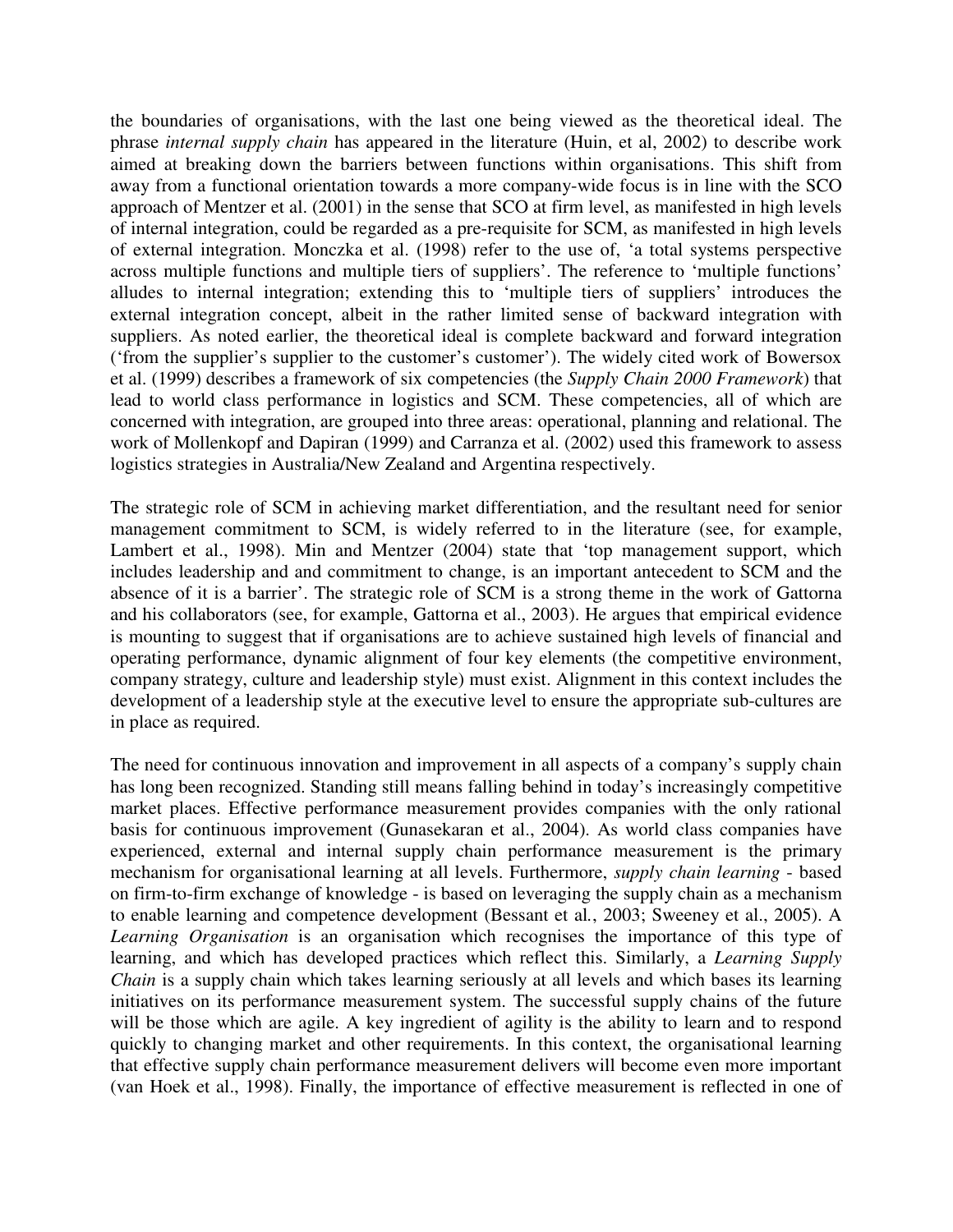the boundaries of organisations, with the last one being viewed as the theoretical ideal. The phrase *internal supply chain* has appeared in the literature (Huin, et al, 2002) to describe work aimed at breaking down the barriers between functions within organisations. This shift from away from a functional orientation towards a more company-wide focus is in line with the SCO approach of Mentzer et al. (2001) in the sense that SCO at firm level, as manifested in high levels of internal integration, could be regarded as a pre-requisite for SCM, as manifested in high levels of external integration. Monczka et al. (1998) refer to the use of, 'a total systems perspective across multiple functions and multiple tiers of suppliers'. The reference to 'multiple functions' alludes to internal integration; extending this to 'multiple tiers of suppliers' introduces the external integration concept, albeit in the rather limited sense of backward integration with suppliers. As noted earlier, the theoretical ideal is complete backward and forward integration ('from the supplier's supplier to the customer's customer'). The widely cited work of Bowersox et al. (1999) describes a framework of six competencies (the *Supply Chain 2000 Framework*) that lead to world class performance in logistics and SCM. These competencies, all of which are concerned with integration, are grouped into three areas: operational, planning and relational. The work of Mollenkopf and Dapiran (1999) and Carranza et al. (2002) used this framework to assess logistics strategies in Australia/New Zealand and Argentina respectively.

The strategic role of SCM in achieving market differentiation, and the resultant need for senior management commitment to SCM, is widely referred to in the literature (see, for example, Lambert et al., 1998). Min and Mentzer (2004) state that 'top management support, which includes leadership and and commitment to change, is an important antecedent to SCM and the absence of it is a barrier'. The strategic role of SCM is a strong theme in the work of Gattorna and his collaborators (see, for example, Gattorna et al., 2003). He argues that empirical evidence is mounting to suggest that if organisations are to achieve sustained high levels of financial and operating performance, dynamic alignment of four key elements (the competitive environment, company strategy, culture and leadership style) must exist. Alignment in this context includes the development of a leadership style at the executive level to ensure the appropriate sub-cultures are in place as required.

The need for continuous innovation and improvement in all aspects of a company's supply chain has long been recognized. Standing still means falling behind in today's increasingly competitive market places. Effective performance measurement provides companies with the only rational basis for continuous improvement (Gunasekaran et al., 2004). As world class companies have experienced, external and internal supply chain performance measurement is the primary mechanism for organisational learning at all levels. Furthermore, *supply chain learning* - based on firm-to-firm exchange of knowledge - is based on leveraging the supply chain as a mechanism to enable learning and competence development (Bessant et al*.*, 2003; Sweeney et al., 2005). A *Learning Organisation* is an organisation which recognises the importance of this type of learning, and which has developed practices which reflect this. Similarly, a *Learning Supply Chain* is a supply chain which takes learning seriously at all levels and which bases its learning initiatives on its performance measurement system. The successful supply chains of the future will be those which are agile. A key ingredient of agility is the ability to learn and to respond quickly to changing market and other requirements. In this context, the organisational learning that effective supply chain performance measurement delivers will become even more important (van Hoek et al., 1998). Finally, the importance of effective measurement is reflected in one of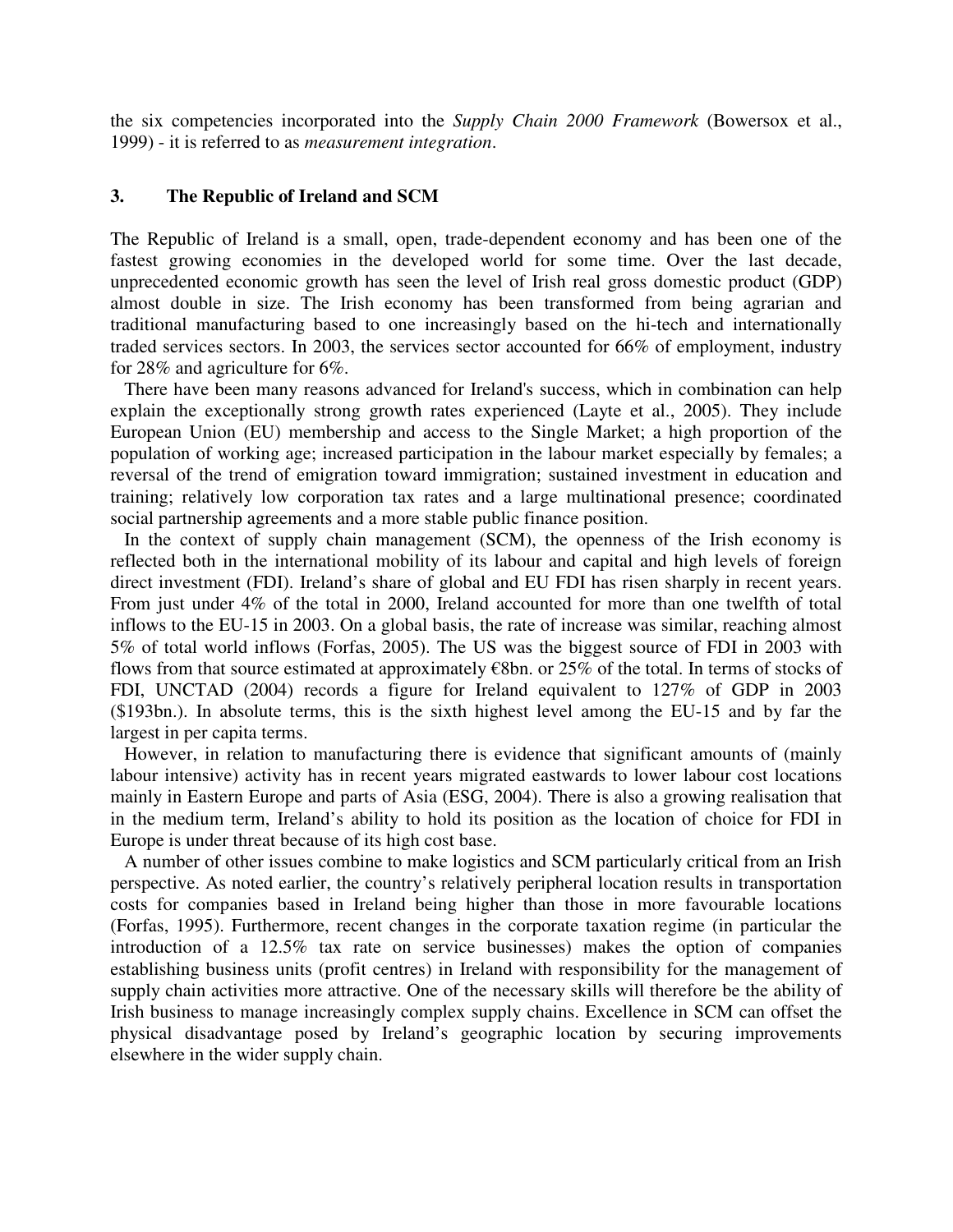the six competencies incorporated into the *Supply Chain 2000 Framework* (Bowersox et al., 1999) - it is referred to as *measurement integration*.

## **3. The Republic of Ireland and SCM**

The Republic of Ireland is a small, open, trade-dependent economy and has been one of the fastest growing economies in the developed world for some time. Over the last decade, unprecedented economic growth has seen the level of Irish real gross domestic product (GDP) almost double in size. The Irish economy has been transformed from being agrarian and traditional manufacturing based to one increasingly based on the hi-tech and internationally traded services sectors. In 2003, the services sector accounted for 66% of employment, industry for 28% and agriculture for 6%.

 There have been many reasons advanced for Ireland's success, which in combination can help explain the exceptionally strong growth rates experienced (Layte et al., 2005). They include European Union (EU) membership and access to the Single Market; a high proportion of the population of working age; increased participation in the labour market especially by females; a reversal of the trend of emigration toward immigration; sustained investment in education and training; relatively low corporation tax rates and a large multinational presence; coordinated social partnership agreements and a more stable public finance position.

In the context of supply chain management (SCM), the openness of the Irish economy is reflected both in the international mobility of its labour and capital and high levels of foreign direct investment (FDI). Ireland's share of global and EU FDI has risen sharply in recent years. From just under 4% of the total in 2000, Ireland accounted for more than one twelfth of total inflows to the EU-15 in 2003. On a global basis, the rate of increase was similar, reaching almost 5% of total world inflows (Forfas, 2005). The US was the biggest source of FDI in 2003 with flows from that source estimated at approximately  $\varepsilon$ 8bn. or 25% of the total. In terms of stocks of FDI, UNCTAD (2004) records a figure for Ireland equivalent to 127% of GDP in 2003 (\$193bn.). In absolute terms, this is the sixth highest level among the EU-15 and by far the largest in per capita terms.

 However, in relation to manufacturing there is evidence that significant amounts of (mainly labour intensive) activity has in recent years migrated eastwards to lower labour cost locations mainly in Eastern Europe and parts of Asia (ESG, 2004). There is also a growing realisation that in the medium term, Ireland's ability to hold its position as the location of choice for FDI in Europe is under threat because of its high cost base.

 A number of other issues combine to make logistics and SCM particularly critical from an Irish perspective. As noted earlier, the country's relatively peripheral location results in transportation costs for companies based in Ireland being higher than those in more favourable locations (Forfas, 1995). Furthermore, recent changes in the corporate taxation regime (in particular the introduction of a 12.5% tax rate on service businesses) makes the option of companies establishing business units (profit centres) in Ireland with responsibility for the management of supply chain activities more attractive. One of the necessary skills will therefore be the ability of Irish business to manage increasingly complex supply chains. Excellence in SCM can offset the physical disadvantage posed by Ireland's geographic location by securing improvements elsewhere in the wider supply chain.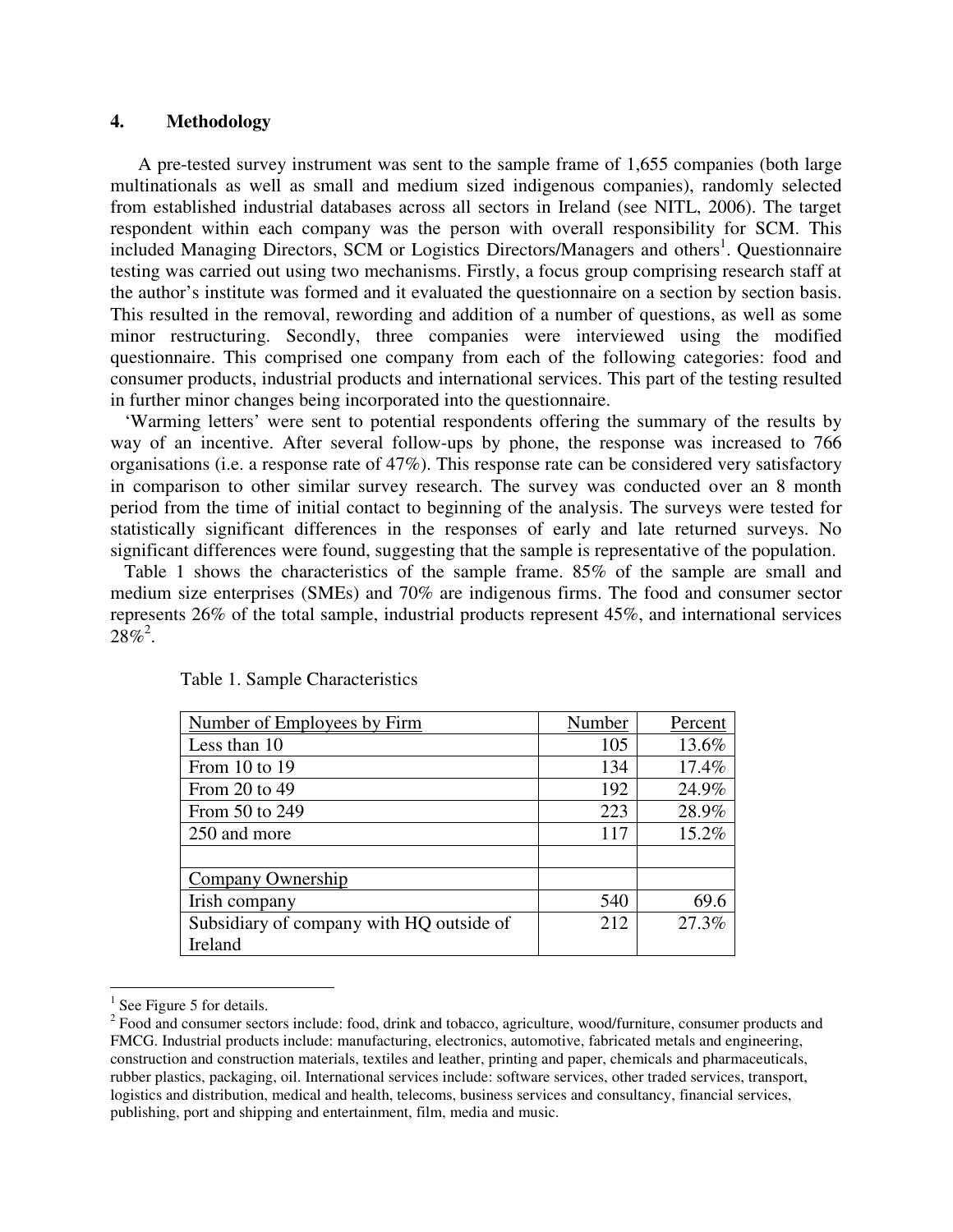#### **4. Methodology**

A pre-tested survey instrument was sent to the sample frame of 1,655 companies (both large multinationals as well as small and medium sized indigenous companies), randomly selected from established industrial databases across all sectors in Ireland (see NITL, 2006). The target respondent within each company was the person with overall responsibility for SCM. This included Managing Directors, SCM or Logistics Directors/Managers and others<sup>1</sup>. Questionnaire testing was carried out using two mechanisms. Firstly, a focus group comprising research staff at the author's institute was formed and it evaluated the questionnaire on a section by section basis. This resulted in the removal, rewording and addition of a number of questions, as well as some minor restructuring. Secondly, three companies were interviewed using the modified questionnaire. This comprised one company from each of the following categories: food and consumer products, industrial products and international services. This part of the testing resulted in further minor changes being incorporated into the questionnaire.

 'Warming letters' were sent to potential respondents offering the summary of the results by way of an incentive. After several follow-ups by phone, the response was increased to 766 organisations (i.e. a response rate of 47%). This response rate can be considered very satisfactory in comparison to other similar survey research. The survey was conducted over an 8 month period from the time of initial contact to beginning of the analysis. The surveys were tested for statistically significant differences in the responses of early and late returned surveys. No significant differences were found, suggesting that the sample is representative of the population.

 Table 1 shows the characteristics of the sample frame. 85% of the sample are small and medium size enterprises (SMEs) and 70% are indigenous firms. The food and consumer sector represents 26% of the total sample, industrial products represent 45%, and international services  $28\%^{2}$ .

| Number of Employees by Firm              | Number | Percent |
|------------------------------------------|--------|---------|
| Less than 10                             | 105    | 13.6%   |
| From $10$ to $19$                        | 134    | 17.4%   |
| From 20 to 49                            | 192    | 24.9%   |
| From 50 to 249                           | 223    | 28.9%   |
| 250 and more                             | 117    | 15.2%   |
|                                          |        |         |
| Company Ownership                        |        |         |
| Irish company                            | 540    | 69.6    |
| Subsidiary of company with HQ outside of | 212    | 27.3%   |
| Ireland                                  |        |         |

Table 1. Sample Characteristics

 $\overline{a}$ 

<sup>&</sup>lt;sup>1</sup> See Figure 5 for details.

 $2^{2}$  Food and consumer sectors include: food, drink and tobacco, agriculture, wood/furniture, consumer products and FMCG. Industrial products include: manufacturing, electronics, automotive, fabricated metals and engineering, construction and construction materials, textiles and leather, printing and paper, chemicals and pharmaceuticals, rubber plastics, packaging, oil. International services include: software services, other traded services, transport, logistics and distribution, medical and health, telecoms, business services and consultancy, financial services, publishing, port and shipping and entertainment, film, media and music.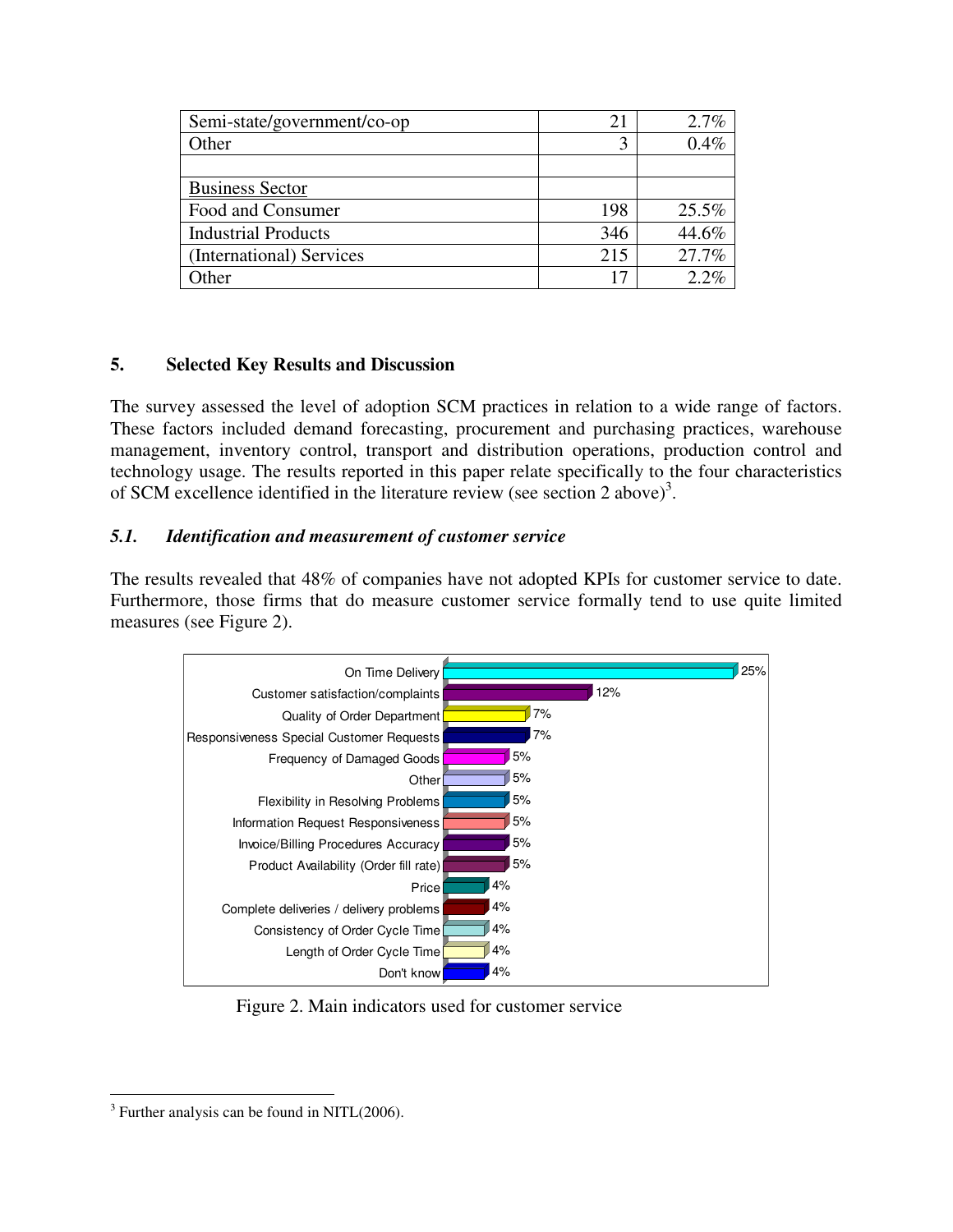| Semi-state/government/co-op | 21  | 2.7%  |
|-----------------------------|-----|-------|
| Other                       | 3   | 0.4%  |
|                             |     |       |
| <b>Business Sector</b>      |     |       |
| Food and Consumer           | 198 | 25.5% |
| <b>Industrial Products</b>  | 346 | 44.6% |
| (International) Services    | 215 | 27.7% |
| <b>Other</b>                |     | 2.2%  |

# **5. Selected Key Results and Discussion**

The survey assessed the level of adoption SCM practices in relation to a wide range of factors. These factors included demand forecasting, procurement and purchasing practices, warehouse management, inventory control, transport and distribution operations, production control and technology usage. The results reported in this paper relate specifically to the four characteristics of SCM excellence identified in the literature review (see section 2 above)<sup>3</sup>.

# *5.1. Identification and measurement of customer service*

The results revealed that 48% of companies have not adopted KPIs for customer service to date. Furthermore, those firms that do measure customer service formally tend to use quite limited measures (see Figure 2).



Figure 2. Main indicators used for customer service

 $\overline{a}$  $3$  Further analysis can be found in NITL(2006).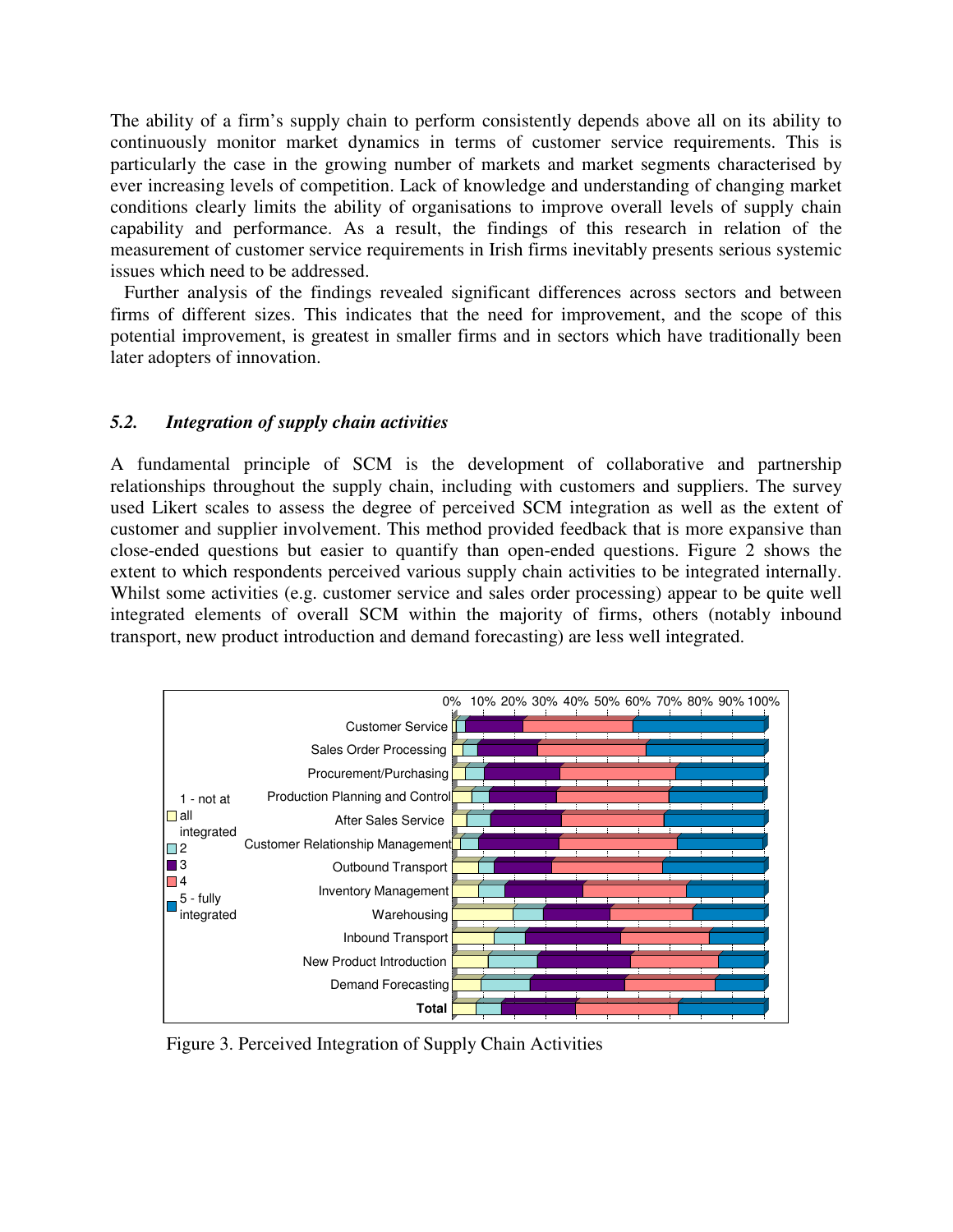The ability of a firm's supply chain to perform consistently depends above all on its ability to continuously monitor market dynamics in terms of customer service requirements. This is particularly the case in the growing number of markets and market segments characterised by ever increasing levels of competition. Lack of knowledge and understanding of changing market conditions clearly limits the ability of organisations to improve overall levels of supply chain capability and performance. As a result, the findings of this research in relation of the measurement of customer service requirements in Irish firms inevitably presents serious systemic issues which need to be addressed.

Further analysis of the findings revealed significant differences across sectors and between firms of different sizes. This indicates that the need for improvement, and the scope of this potential improvement, is greatest in smaller firms and in sectors which have traditionally been later adopters of innovation.

## *5.2. Integration of supply chain activities*

A fundamental principle of SCM is the development of collaborative and partnership relationships throughout the supply chain, including with customers and suppliers. The survey used Likert scales to assess the degree of perceived SCM integration as well as the extent of customer and supplier involvement. This method provided feedback that is more expansive than close-ended questions but easier to quantify than open-ended questions. Figure 2 shows the extent to which respondents perceived various supply chain activities to be integrated internally. Whilst some activities (e.g. customer service and sales order processing) appear to be quite well integrated elements of overall SCM within the majority of firms, others (notably inbound transport, new product introduction and demand forecasting) are less well integrated.



Figure 3. Perceived Integration of Supply Chain Activities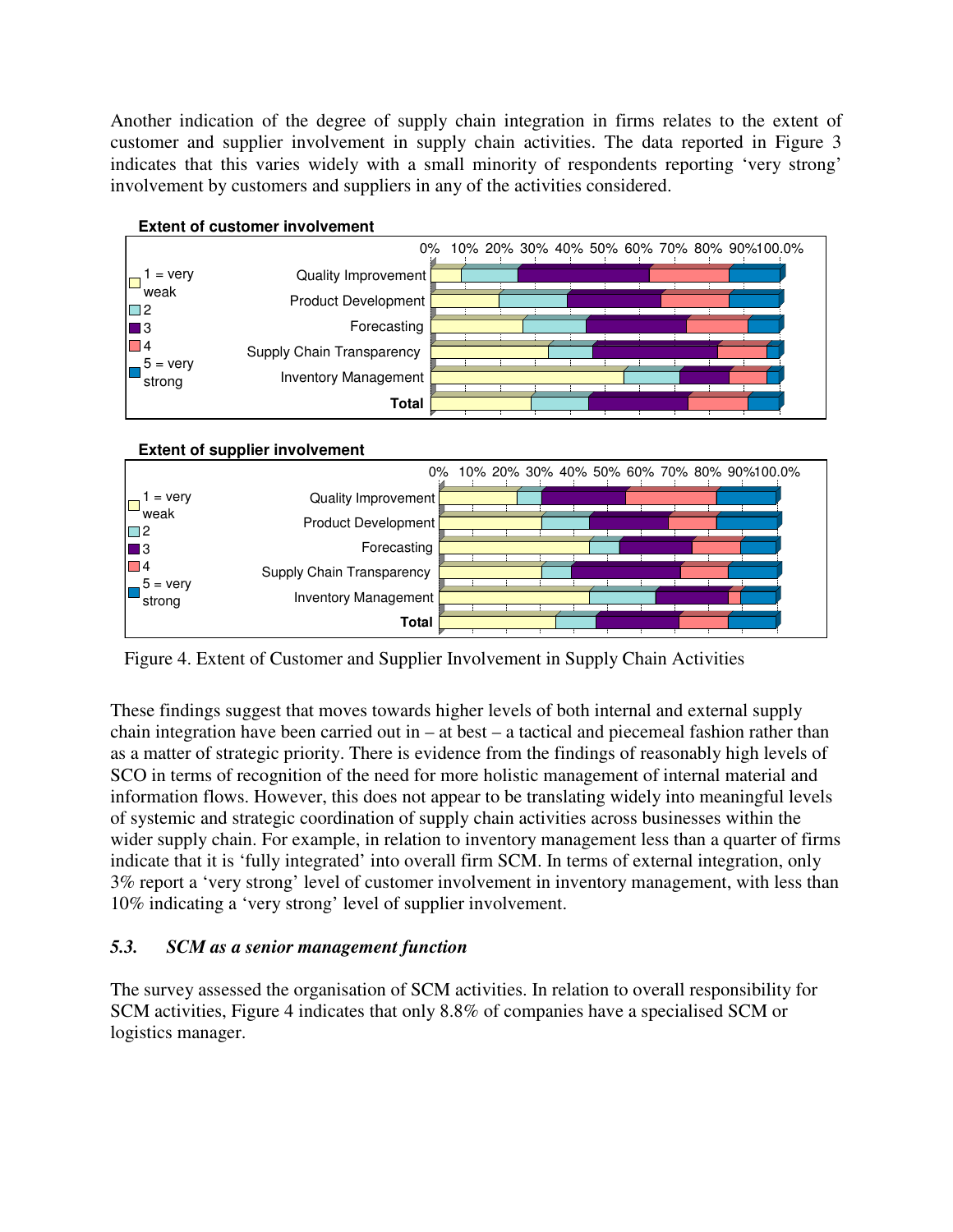Another indication of the degree of supply chain integration in firms relates to the extent of customer and supplier involvement in supply chain activities. The data reported in Figure 3 indicates that this varies widely with a small minority of respondents reporting 'very strong' involvement by customers and suppliers in any of the activities considered.



## **Extent of supplier involvement**



Figure 4. Extent of Customer and Supplier Involvement in Supply Chain Activities

These findings suggest that moves towards higher levels of both internal and external supply chain integration have been carried out in  $-$  at best  $-$  a tactical and piecemeal fashion rather than as a matter of strategic priority. There is evidence from the findings of reasonably high levels of SCO in terms of recognition of the need for more holistic management of internal material and information flows. However, this does not appear to be translating widely into meaningful levels of systemic and strategic coordination of supply chain activities across businesses within the wider supply chain. For example, in relation to inventory management less than a quarter of firms indicate that it is 'fully integrated' into overall firm SCM. In terms of external integration, only 3% report a 'very strong' level of customer involvement in inventory management, with less than 10% indicating a 'very strong' level of supplier involvement.

# *5.3. SCM as a senior management function*

The survey assessed the organisation of SCM activities. In relation to overall responsibility for SCM activities, Figure 4 indicates that only 8.8% of companies have a specialised SCM or logistics manager.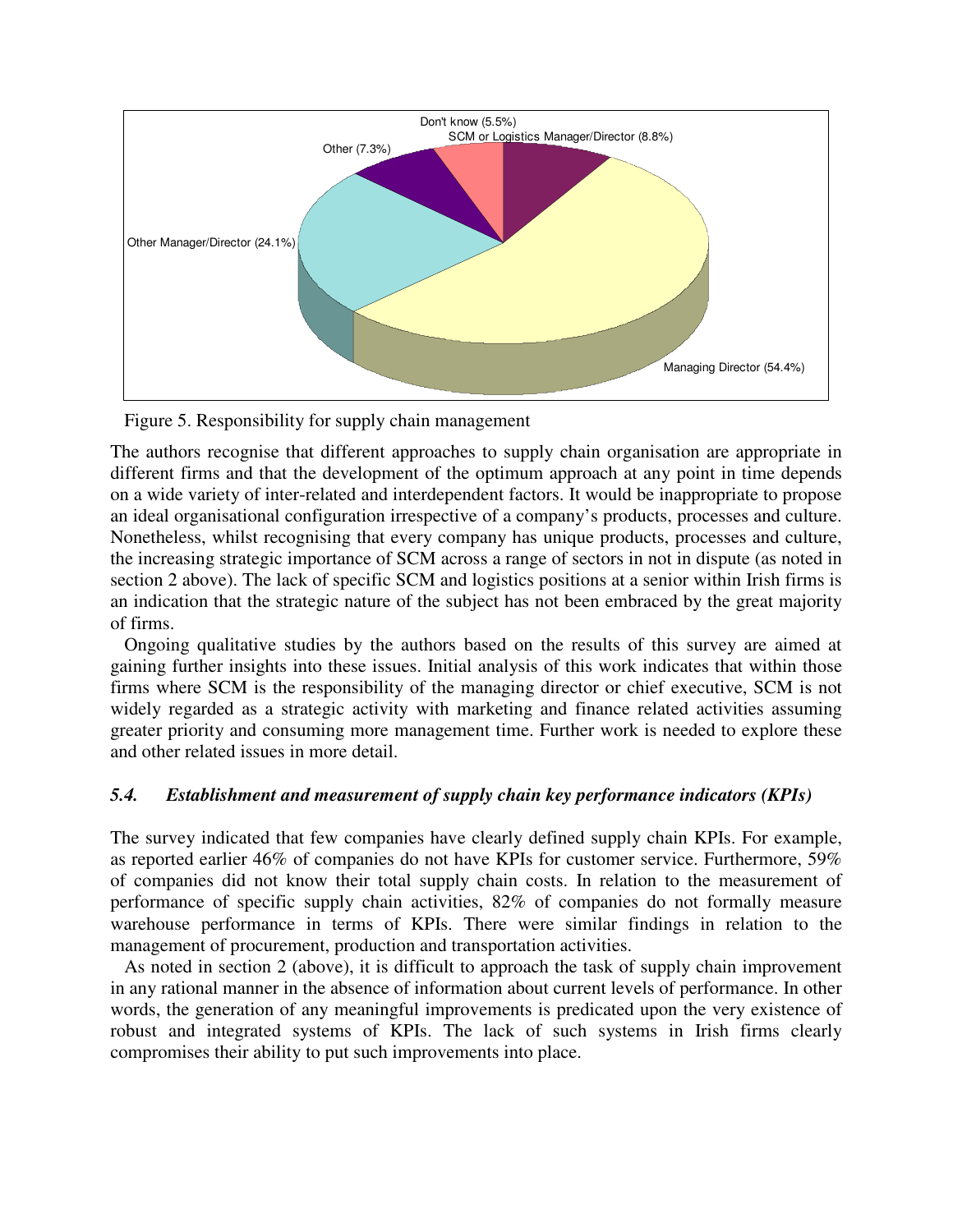

Figure 5. Responsibility for supply chain management

The authors recognise that different approaches to supply chain organisation are appropriate in different firms and that the development of the optimum approach at any point in time depends on a wide variety of inter-related and interdependent factors. It would be inappropriate to propose an ideal organisational configuration irrespective of a company's products, processes and culture. Nonetheless, whilst recognising that every company has unique products, processes and culture, the increasing strategic importance of SCM across a range of sectors in not in dispute (as noted in section 2 above). The lack of specific SCM and logistics positions at a senior within Irish firms is an indication that the strategic nature of the subject has not been embraced by the great majority of firms.

Ongoing qualitative studies by the authors based on the results of this survey are aimed at gaining further insights into these issues. Initial analysis of this work indicates that within those firms where SCM is the responsibility of the managing director or chief executive, SCM is not widely regarded as a strategic activity with marketing and finance related activities assuming greater priority and consuming more management time. Further work is needed to explore these and other related issues in more detail.

# *5.4. Establishment and measurement of supply chain key performance indicators (KPIs)*

The survey indicated that few companies have clearly defined supply chain KPIs. For example, as reported earlier 46% of companies do not have KPIs for customer service. Furthermore, 59% of companies did not know their total supply chain costs. In relation to the measurement of performance of specific supply chain activities, 82% of companies do not formally measure warehouse performance in terms of KPIs. There were similar findings in relation to the management of procurement, production and transportation activities.

As noted in section 2 (above), it is difficult to approach the task of supply chain improvement in any rational manner in the absence of information about current levels of performance. In other words, the generation of any meaningful improvements is predicated upon the very existence of robust and integrated systems of KPIs. The lack of such systems in Irish firms clearly compromises their ability to put such improvements into place.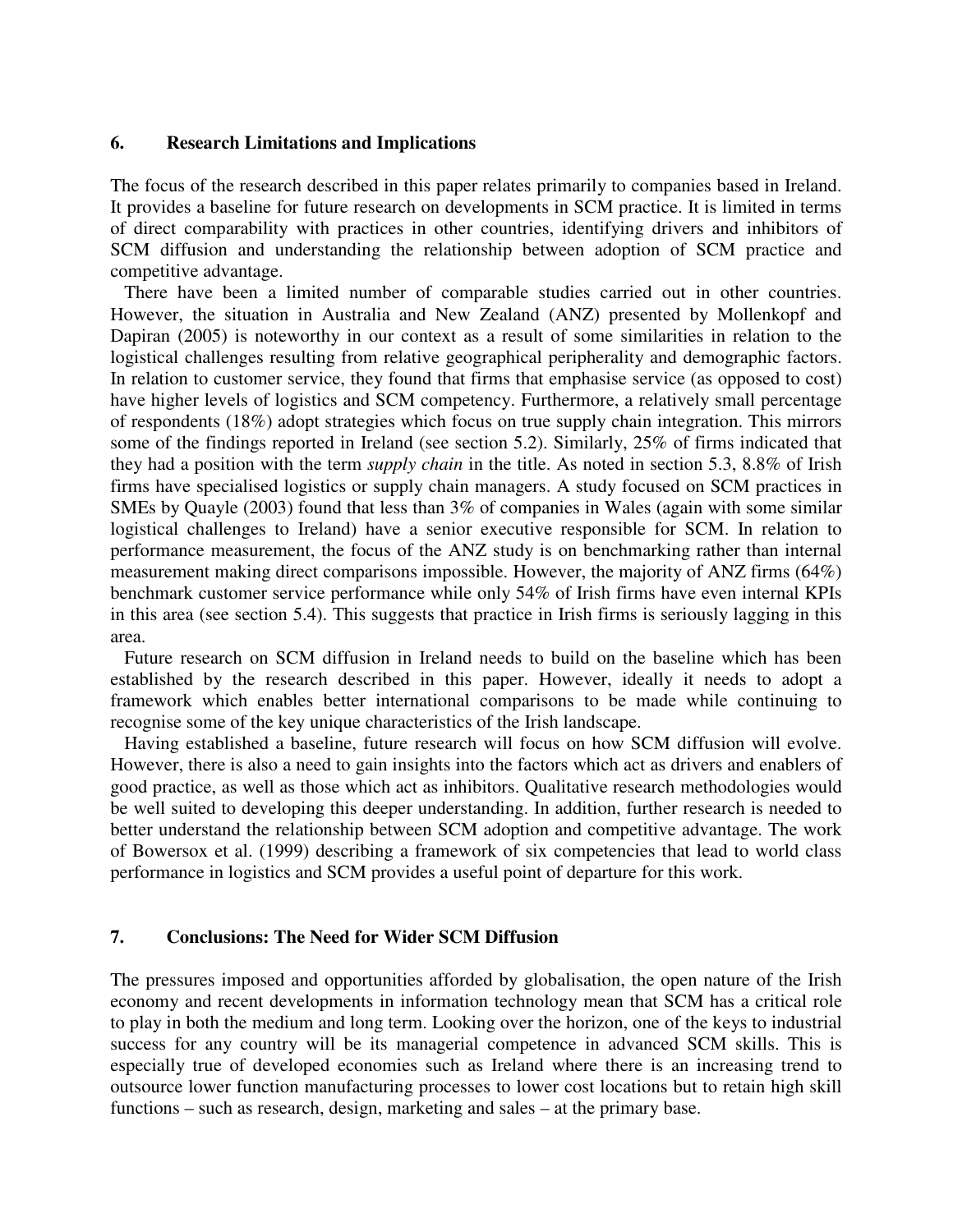### **6. Research Limitations and Implications**

The focus of the research described in this paper relates primarily to companies based in Ireland. It provides a baseline for future research on developments in SCM practice. It is limited in terms of direct comparability with practices in other countries, identifying drivers and inhibitors of SCM diffusion and understanding the relationship between adoption of SCM practice and competitive advantage.

There have been a limited number of comparable studies carried out in other countries. However, the situation in Australia and New Zealand (ANZ) presented by Mollenkopf and Dapiran (2005) is noteworthy in our context as a result of some similarities in relation to the logistical challenges resulting from relative geographical peripherality and demographic factors. In relation to customer service, they found that firms that emphasise service (as opposed to cost) have higher levels of logistics and SCM competency. Furthermore, a relatively small percentage of respondents (18%) adopt strategies which focus on true supply chain integration. This mirrors some of the findings reported in Ireland (see section 5.2). Similarly, 25% of firms indicated that they had a position with the term *supply chain* in the title. As noted in section 5.3, 8.8% of Irish firms have specialised logistics or supply chain managers. A study focused on SCM practices in SMEs by Quayle (2003) found that less than 3% of companies in Wales (again with some similar logistical challenges to Ireland) have a senior executive responsible for SCM. In relation to performance measurement, the focus of the ANZ study is on benchmarking rather than internal measurement making direct comparisons impossible. However, the majority of ANZ firms (64%) benchmark customer service performance while only 54% of Irish firms have even internal KPIs in this area (see section 5.4). This suggests that practice in Irish firms is seriously lagging in this area.

Future research on SCM diffusion in Ireland needs to build on the baseline which has been established by the research described in this paper. However, ideally it needs to adopt a framework which enables better international comparisons to be made while continuing to recognise some of the key unique characteristics of the Irish landscape.

Having established a baseline, future research will focus on how SCM diffusion will evolve. However, there is also a need to gain insights into the factors which act as drivers and enablers of good practice, as well as those which act as inhibitors. Qualitative research methodologies would be well suited to developing this deeper understanding. In addition, further research is needed to better understand the relationship between SCM adoption and competitive advantage. The work of Bowersox et al. (1999) describing a framework of six competencies that lead to world class performance in logistics and SCM provides a useful point of departure for this work.

## **7. Conclusions: The Need for Wider SCM Diffusion**

The pressures imposed and opportunities afforded by globalisation, the open nature of the Irish economy and recent developments in information technology mean that SCM has a critical role to play in both the medium and long term. Looking over the horizon, one of the keys to industrial success for any country will be its managerial competence in advanced SCM skills. This is especially true of developed economies such as Ireland where there is an increasing trend to outsource lower function manufacturing processes to lower cost locations but to retain high skill functions – such as research, design, marketing and sales – at the primary base.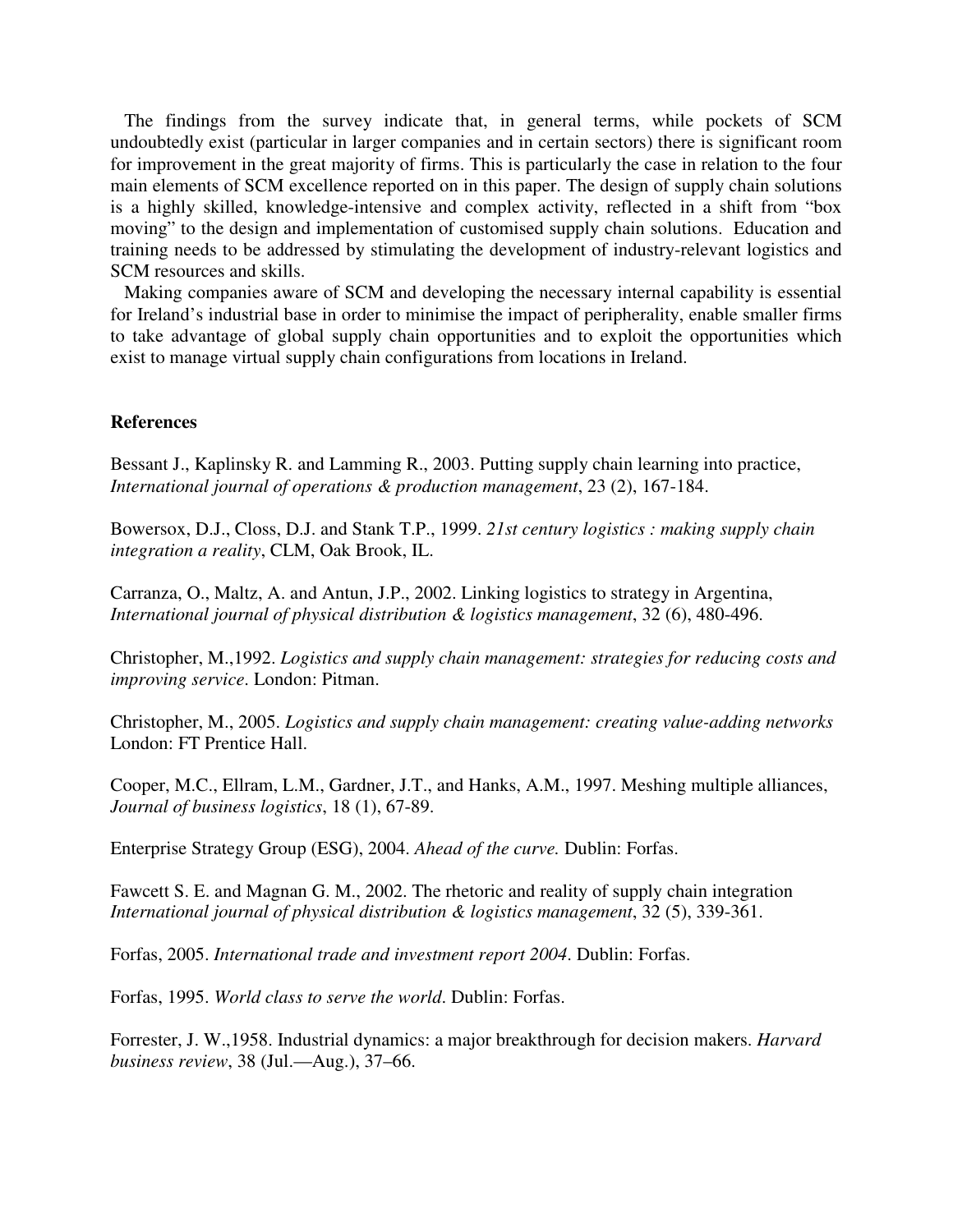The findings from the survey indicate that, in general terms, while pockets of SCM undoubtedly exist (particular in larger companies and in certain sectors) there is significant room for improvement in the great majority of firms. This is particularly the case in relation to the four main elements of SCM excellence reported on in this paper. The design of supply chain solutions is a highly skilled, knowledge-intensive and complex activity, reflected in a shift from "box moving" to the design and implementation of customised supply chain solutions. Education and training needs to be addressed by stimulating the development of industry-relevant logistics and SCM resources and skills.

 Making companies aware of SCM and developing the necessary internal capability is essential for Ireland's industrial base in order to minimise the impact of peripherality, enable smaller firms to take advantage of global supply chain opportunities and to exploit the opportunities which exist to manage virtual supply chain configurations from locations in Ireland.

### **References**

Bessant J., Kaplinsky R. and Lamming R., 2003. Putting supply chain learning into practice, *International journal of operations & production management*, 23 (2), 167-184.

Bowersox, D.J., Closs, D.J. and Stank T.P., 1999. *21st century logistics : making supply chain integration a reality*, CLM, Oak Brook, IL.

Carranza, O., Maltz, A. and Antun, J.P., 2002. Linking logistics to strategy in Argentina, *International journal of physical distribution & logistics management*, 32 (6), 480-496.

Christopher, M.,1992. *Logistics and supply chain management: strategies for reducing costs and improving service*. London: Pitman.

Christopher, M., 2005. *Logistics and supply chain management: creating value-adding networks* London: FT Prentice Hall.

Cooper, M.C., Ellram, L.M., Gardner, J.T., and Hanks, A.M., 1997. Meshing multiple alliances, *Journal of business logistics*, 18 (1), 67-89.

Enterprise Strategy Group (ESG), 2004. *Ahead of the curve.* Dublin: Forfas.

Fawcett S. E. and Magnan G. M., 2002. The rhetoric and reality of supply chain integration *International journal of physical distribution & logistics management*, 32 (5), 339-361.

Forfas, 2005. *International trade and investment report 2004*. Dublin: Forfas.

Forfas, 1995. *World class to serve the world*. Dublin: Forfas.

Forrester, J. W.,1958. Industrial dynamics: a major breakthrough for decision makers. *Harvard business review*, 38 (Jul.—Aug.), 37–66.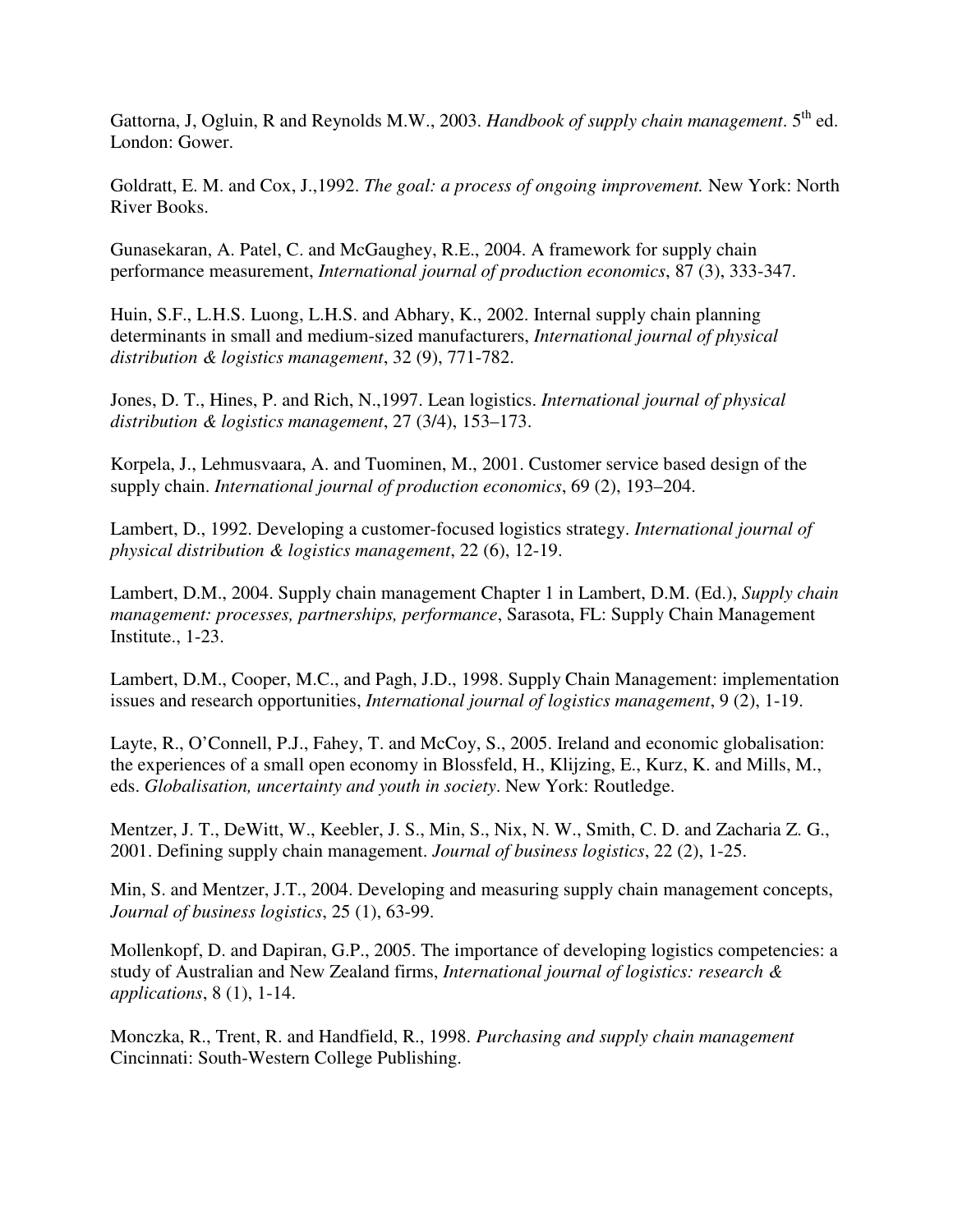Gattorna, J, Ogluin, R and Reynolds M.W., 2003. *Handbook of supply chain management*. 5<sup>th</sup> ed. London: Gower.

Goldratt, E. M. and Cox, J.,1992. *The goal: a process of ongoing improvement.* New York: North River Books.

Gunasekaran, A. Patel, C. and McGaughey, R.E., 2004. A framework for supply chain performance measurement, *International journal of production economics*, 87 (3), 333-347.

Huin, S.F., L.H.S. Luong, L.H.S. and Abhary, K., 2002. Internal supply chain planning determinants in small and medium-sized manufacturers, *International journal of physical distribution & logistics management*, 32 (9), 771-782.

Jones, D. T., Hines, P. and Rich, N.,1997. Lean logistics. *International journal of physical distribution & logistics management*, 27 (3/4), 153–173.

Korpela, J., Lehmusvaara, A. and Tuominen, M., 2001. Customer service based design of the supply chain. *International journal of production economics*, 69 (2), 193–204.

Lambert, D., 1992. Developing a customer-focused logistics strategy. *International journal of physical distribution & logistics management*, 22 (6), 12-19.

Lambert, D.M., 2004. Supply chain management Chapter 1 in Lambert, D.M. (Ed.), *Supply chain management: processes, partnerships, performance*, Sarasota, FL: Supply Chain Management Institute., 1-23.

Lambert, D.M., Cooper, M.C., and Pagh, J.D., 1998. Supply Chain Management: implementation issues and research opportunities, *International journal of logistics management*, 9 (2), 1-19.

Layte, R., O'Connell, P.J., Fahey, T. and McCoy, S., 2005. Ireland and economic globalisation: the experiences of a small open economy in Blossfeld, H., Klijzing, E., Kurz, K. and Mills, M., eds. *Globalisation, uncertainty and youth in society*. New York: Routledge.

Mentzer, J. T., DeWitt, W., Keebler, J. S., Min, S., Nix, N. W., Smith, C. D. and Zacharia Z. G., 2001. Defining supply chain management. *Journal of business logistics*, 22 (2), 1-25.

Min, S. and Mentzer, J.T., 2004. Developing and measuring supply chain management concepts, *Journal of business logistics*, 25 (1), 63-99.

Mollenkopf, D. and Dapiran, G.P., 2005. The importance of developing logistics competencies: a study of Australian and New Zealand firms, *International journal of logistics: research & applications*, 8 (1), 1-14.

Monczka, R., Trent, R. and Handfield, R., 1998. *Purchasing and supply chain management* Cincinnati: South-Western College Publishing.